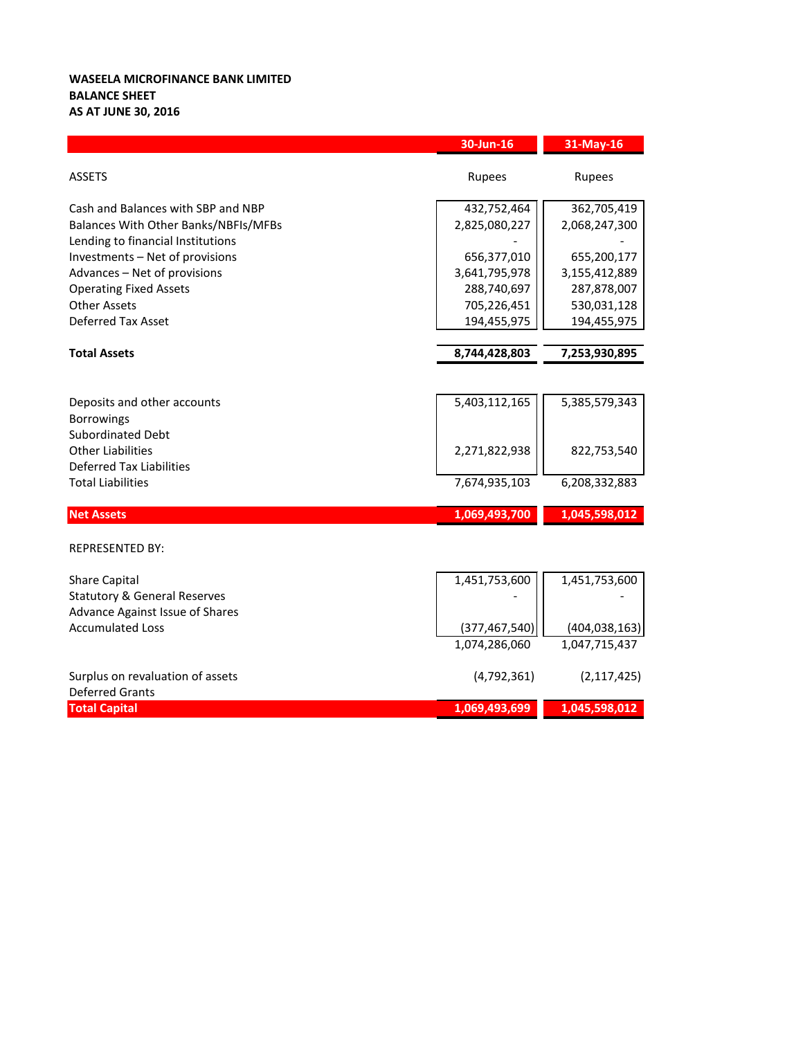## **WASEELA MICROFINANCE BANK LIMITED BALANCE SHEET AS AT JUNE 30, 2016**

|                                                                                                                 | $30$ -Jun- $16$              | 31-May-16                    |
|-----------------------------------------------------------------------------------------------------------------|------------------------------|------------------------------|
| <b>ASSETS</b>                                                                                                   | Rupees                       | Rupees                       |
| Cash and Balances with SBP and NBP<br>Balances With Other Banks/NBFIs/MFBs<br>Lending to financial Institutions | 432,752,464<br>2,825,080,227 | 362,705,419<br>2,068,247,300 |
| Investments - Net of provisions<br>Advances - Net of provisions                                                 | 656,377,010<br>3,641,795,978 | 655,200,177<br>3,155,412,889 |
| <b>Operating Fixed Assets</b><br><b>Other Assets</b><br><b>Deferred Tax Asset</b>                               | 288,740,697<br>705,226,451   | 287,878,007<br>530,031,128   |
|                                                                                                                 | 194,455,975                  | 194,455,975                  |
| <b>Total Assets</b>                                                                                             | 8,744,428,803                | 7,253,930,895                |
|                                                                                                                 |                              |                              |
| Deposits and other accounts<br><b>Borrowings</b><br><b>Subordinated Debt</b>                                    | 5,403,112,165                | 5,385,579,343                |
| <b>Other Liabilities</b><br><b>Deferred Tax Liabilities</b>                                                     | 2,271,822,938                | 822,753,540                  |
| <b>Total Liabilities</b>                                                                                        | 7,674,935,103                | 6,208,332,883                |
| <b>Net Assets</b>                                                                                               | 1,069,493,700                | 1,045,598,012                |
| <b>REPRESENTED BY:</b>                                                                                          |                              |                              |
| <b>Share Capital</b><br><b>Statutory &amp; General Reserves</b>                                                 | 1,451,753,600                | 1,451,753,600                |
| Advance Against Issue of Shares<br><b>Accumulated Loss</b>                                                      | (377, 467, 540)              | (404, 038, 163)              |
|                                                                                                                 | 1,074,286,060                | 1,047,715,437                |
| Surplus on revaluation of assets<br><b>Deferred Grants</b>                                                      | (4, 792, 361)                | (2, 117, 425)                |
| <b>Total Capital</b>                                                                                            | 1,069,493,699                | 1,045,598,012                |